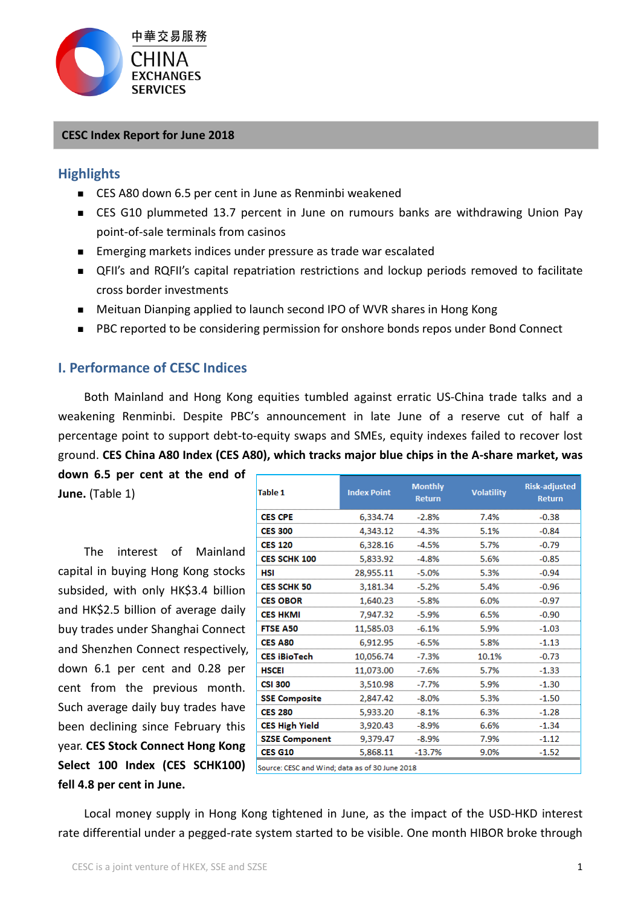

#### **CESC Index Report for June 2018**

#### **Highlights**

- CES A80 down 6.5 per cent in June as Renminbi weakened
- CES G10 plummeted 13.7 percent in June on rumours banks are withdrawing Union Pay point-of-sale terminals from casinos
- Emerging markets indices under pressure as trade war escalated
- QFII's and RQFII's capital repatriation restrictions and lockup periods removed to facilitate cross border investments
- Meituan Dianping applied to launch second IPO of WVR shares in Hong Kong
- PBC reported to be considering permission for onshore bonds repos under Bond Connect

### **I. Performance of CESC Indices**

Both Mainland and Hong Kong equities tumbled against erratic US-China trade talks and a weakening Renminbi. Despite PBC's announcement in late June of a reserve cut of half a percentage point to support debt-to-equity swaps and SMEs, equity indexes failed to recover lost ground. **CES China A80 Index (CES A80), which tracks major blue chips in the A-share market, was** 

**down 6.5 per cent at the end of June.** (Table 1)

The interest of Mainland capital in buying Hong Kong stocks subsided, with only HK\$3.4 billion and HK\$2.5 billion of average daily buy trades under Shanghai Connect and Shenzhen Connect respectively, down 6.1 per cent and 0.28 per cent from the previous month. Such average daily buy trades have been declining since February this year. **CES Stock Connect Hong Kong Select 100 Index (CES SCHK100) fell 4.8 per cent in June.**

| Table 1                                        | <b>Index Point</b> | <b>Monthly</b><br><b>Return</b> | <b>Volatility</b> | <b>Risk-adjusted</b><br><b>Return</b> |
|------------------------------------------------|--------------------|---------------------------------|-------------------|---------------------------------------|
| <b>CES CPE</b>                                 | 6,334.74           | $-2.8%$                         | 7.4%              | $-0.38$                               |
| <b>CES 300</b>                                 | 4.343.12           | $-4.3%$                         | 5.1%              | -0.84                                 |
| <b>CES 120</b>                                 | 6,328.16           | $-4.5%$                         | 5.7%              | $-0.79$                               |
| <b>CES SCHK 100</b>                            | 5,833.92           | $-4.8%$                         | 5.6%              | $-0.85$                               |
| HSI                                            | 28,955.11          | $-5.0%$                         | 5.3%              | $-0.94$                               |
| <b>CES SCHK 50</b>                             | 3,181.34           | $-5.2%$                         | 5.4%              | $-0.96$                               |
| <b>CES OBOR</b>                                | 1,640.23           | $-5.8%$                         | 6.0%              | $-0.97$                               |
| <b>CES HKMI</b>                                | 7,947.32           | $-5.9%$                         | 6.5%              | -0.90                                 |
| <b>FTSE A50</b>                                | 11,585.03          | $-6.1%$                         | 5.9%              | $-1.03$                               |
| <b>CES A80</b>                                 | 6,912.95           | $-6.5%$                         | 5.8%              | $-1.13$                               |
| <b>CES iBioTech</b>                            | 10,056.74          | $-7.3%$                         | 10.1%             | $-0.73$                               |
| <b>HSCEI</b>                                   | 11,073.00          | $-7.6%$                         | 5.7%              | $-1.33$                               |
| <b>CSI 300</b>                                 | 3,510.98           | $-7.7%$                         | 5.9%              | $-1.30$                               |
| <b>SSE Composite</b>                           | 2,847.42           | $-8.0\%$                        | 5.3%              | $-1.50$                               |
| <b>CES 280</b>                                 | 5,933.20           | $-8.1%$                         | 6.3%              | $-1.28$                               |
| <b>CES High Yield</b>                          | 3,920.43           | $-8.9%$                         | 6.6%              | $-1.34$                               |
| <b>SZSE Component</b>                          | 9,379.47           | $-8.9%$                         | 7.9%              | $-1.12$                               |
| <b>CES G10</b>                                 | 5,868.11           | $-13.7%$                        | 9.0%              | $-1.52$                               |
| Source: CESC and Wind; data as of 30 June 2018 |                    |                                 |                   |                                       |

Local money supply in Hong Kong tightened in June, as the impact of the USD-HKD interest rate differential under a pegged-rate system started to be visible. One month HIBOR broke through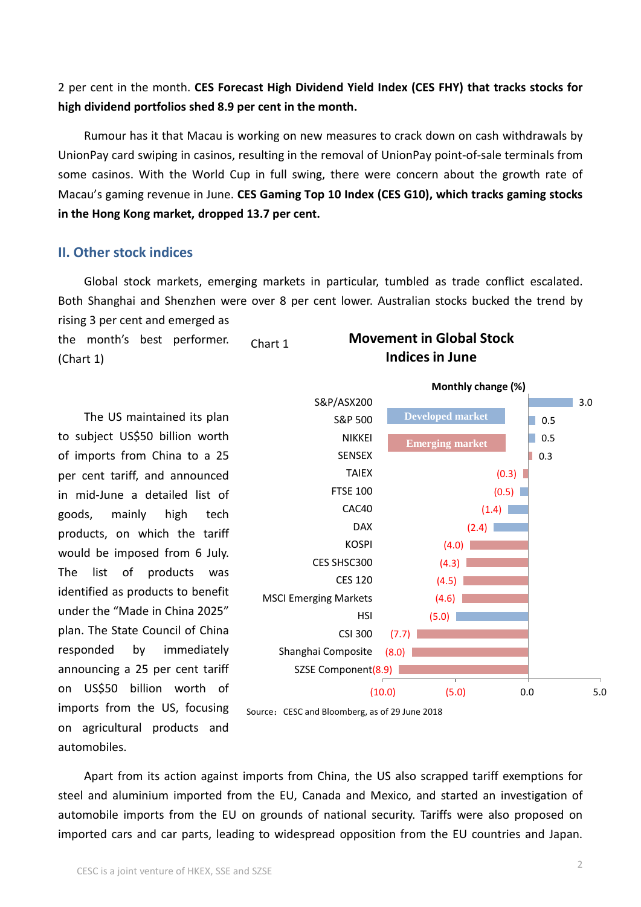2 per cent in the month. **CES Forecast High Dividend Yield Index (CES FHY) that tracks stocks for high dividend portfolios shed 8.9 per cent in the month.**

Rumour has it that Macau is working on new measures to crack down on cash withdrawals by UnionPay card swiping in casinos, resulting in the removal of UnionPay point-of-sale terminals from some casinos. With the World Cup in full swing, there were concern about the growth rate of Macau's gaming revenue in June. **CES Gaming Top 10 Index (CES G10), which tracks gaming stocks in the Hong Kong market, dropped 13.7 per cent.**

#### **II. Other stock indices**

Global stock markets, emerging markets in particular, tumbled as trade conflict escalated. Both Shanghai and Shenzhen were over 8 per cent lower. Australian stocks bucked the trend by rising 3 per cent and emerged as

the month's best performer. (Chart 1) Chart 1

The US maintained its plan to subject US\$50 billion worth of imports from China to a 25 per cent tariff, and announced in mid-June a detailed list of goods, mainly high tech products, on which the tariff would be imposed from 6 July. The list of products was identified as products to benefit under the "Made in China 2025" plan. The State Council of China responded by immediately announcing a 25 per cent tariff on US\$50 billion worth of imports from the US, focusing on agricultural products and automobiles.

# **Movement in Global Stock Indices in June**



Source: CESC and Bloomberg, as of 29 June 2018

Apart from its action against imports from China, the US also scrapped tariff exemptions for steel and aluminium imported from the EU, Canada and Mexico, and started an investigation of automobile imports from the EU on grounds of national security. Tariffs were also proposed on imported cars and car parts, leading to widespread opposition from the EU countries and Japan.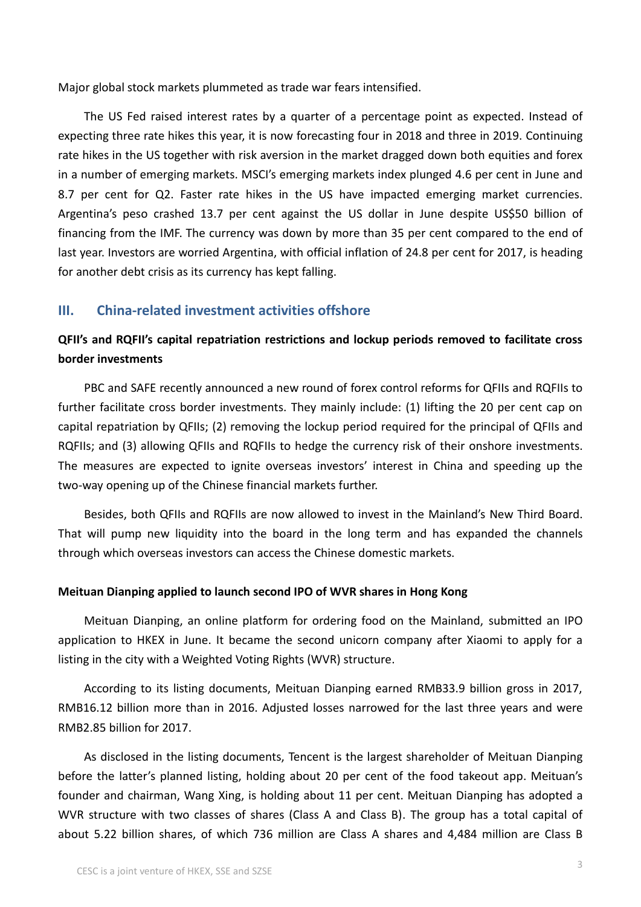Major global stock markets plummeted as trade war fears intensified.

The US Fed raised interest rates by a quarter of a percentage point as expected. Instead of expecting three rate hikes this year, it is now forecasting four in 2018 and three in 2019. Continuing rate hikes in the US together with risk aversion in the market dragged down both equities and forex in a number of emerging markets. MSCI's emerging markets index plunged 4.6 per cent in June and 8.7 per cent for Q2. Faster rate hikes in the US have impacted emerging market currencies. Argentina's peso crashed 13.7 per cent against the US dollar in June despite US\$50 billion of financing from the IMF. The currency was down by more than 35 per cent compared to the end of last year. Investors are worried Argentina, with official inflation of 24.8 per cent for 2017, is heading for another debt crisis as its currency has kept falling.

#### **III. China-related investment activities offshore**

## **QFII's and RQFII's capital repatriation restrictions and lockup periods removed to facilitate cross border investments**

PBC and SAFE recently announced a new round of forex control reforms for QFIIs and RQFIIs to further facilitate cross border investments. They mainly include: (1) lifting the 20 per cent cap on capital repatriation by QFIIs; (2) removing the lockup period required for the principal of QFIIs and RQFIIs; and (3) allowing QFIIs and RQFIIs to hedge the currency risk of their onshore investments. The measures are expected to ignite overseas investors' interest in China and speeding up the two-way opening up of the Chinese financial markets further.

Besides, both QFIIs and RQFIIs are now allowed to invest in the Mainland's New Third Board. That will pump new liquidity into the board in the long term and has expanded the channels through which overseas investors can access the Chinese domestic markets.

#### **Meituan Dianping applied to launch second IPO of WVR shares in Hong Kong**

Meituan Dianping, an online platform for ordering food on the Mainland, submitted an IPO application to HKEX in June. It became the second unicorn company after Xiaomi to apply for a listing in the city with a Weighted Voting Rights (WVR) structure.

According to its listing documents, Meituan Dianping earned RMB33.9 billion gross in 2017, RMB16.12 billion more than in 2016. Adjusted losses narrowed for the last three years and were RMB2.85 billion for 2017.

As disclosed in the listing documents, Tencent is the largest shareholder of Meituan Dianping before the latter's planned listing, holding about 20 per cent of the food takeout app. Meituan's founder and chairman, Wang Xing, is holding about 11 per cent. Meituan Dianping has adopted a WVR structure with two classes of shares (Class A and Class B). The group has a total capital of about 5.22 billion shares, of which 736 million are Class A shares and 4,484 million are Class B